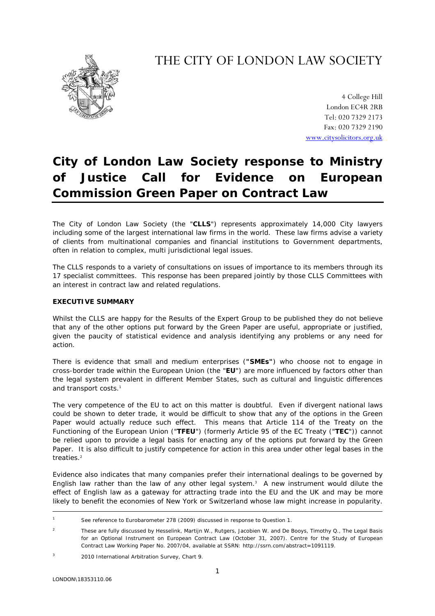## THE CITY OF LONDON LAW SOCIETY



4 College Hill London EC4R 2RB Tel: 020 7329 2173 Fax: 020 7329 2190 [www.citysolicitors.org.uk](http://www.citysolicitors.org.uk/)

# **City of London Law Society response to Ministry of Justice Call for Evidence on European Commission Green Paper on Contract Law**

The City of London Law Society (the "**CLLS**") represents approximately 14,000 City lawyers including some of the largest international law firms in the world. These law firms advise a variety of clients from multinational companies and financial institutions to Government departments, often in relation to complex, multi jurisdictional legal issues.

The CLLS responds to a variety of consultations on issues of importance to its members through its 17 specialist committees. This response has been prepared jointly by those CLLS Committees with an interest in contract law and related regulations.

## **EXECUTIVE SUMMARY**

Whilst the CLLS are happy for the Results of the Expert Group to be published they do not believe that any of the other options put forward by the Green Paper are useful, appropriate or justified, given the paucity of statistical evidence and analysis identifying any problems or any need for action.

There is evidence that small and medium enterprises (**"SMEs"**) who choose not to engage in cross-border trade within the European Union (the "**EU**") are more influenced by factors other than the legal system prevalent in different Member States, such as cultural and linguistic differences and transport costs.<sup>[1](#page-0-0)</sup>

The very competence of the EU to act on this matter is doubtful. Even if divergent national laws could be shown to deter trade, it would be difficult to show that any of the options in the Green Paper would actually reduce such effect. This means that Article 114 of the Treaty on the Functioning of the European Union ("**TFEU**") (formerly Article 95 of the EC Treaty ("**TEC**")) cannot be relied upon to provide a legal basis for enacting any of the options put forward by the Green Paper. It is also difficult to justify competence for action in this area under other legal bases in the treaties.<sup>[2](#page-0-1)</sup>

Evidence also indicates that many companies prefer their international dealings to be governed by English law rather than the law of any other legal system. $3$  A new instrument would dilute the effect of English law as a gateway for attracting trade into the EU and the UK and may be more likely to benefit the economies of New York or Switzerland whose law might increase in popularity.

<span id="page-0-0"></span><sup>|&</sup>lt;br>1 <sup>1</sup> See reference to Eurobarometer 278 (2009) discussed in response to Question 1.

<span id="page-0-1"></span> $\overline{2}$  These are fully discussed by Hesselink, Martijn W., Rutgers, Jacobien W. and De Booys, Timothy Q., The Legal Basis for an Optional Instrument on European Contract Law (October 31, 2007). Centre for the Study of European Contract Law Working Paper No. 2007/04, available at SSRN: http://ssrn.com/abstract=1091119.

<span id="page-0-2"></span><sup>3</sup> 2010 International Arbitration Survey, Chart 9.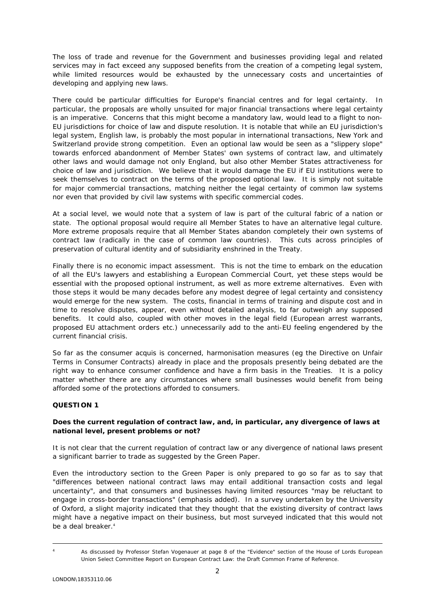The loss of trade and revenue for the Government and businesses providing legal and related services may in fact exceed any supposed benefits from the creation of a competing legal system, while limited resources would be exhausted by the unnecessary costs and uncertainties of developing and applying new laws.

There could be particular difficulties for Europe's financial centres and for legal certainty. In particular, the proposals are wholly unsuited for major financial transactions where legal certainty is an imperative. Concerns that this might become a mandatory law, would lead to a flight to non-EU jurisdictions for choice of law and dispute resolution. It is notable that while an EU jurisdiction's legal system, English law, is probably the most popular in international transactions, New York and Switzerland provide strong competition. Even an optional law would be seen as a "slippery slope" towards enforced abandonment of Member States' own systems of contract law, and ultimately other laws and would damage not only England, but also other Member States attractiveness for choice of law and jurisdiction. We believe that it would damage the EU if EU institutions were to seek themselves to contract on the terms of the proposed optional law. It is simply not suitable for major commercial transactions, matching neither the legal certainty of common law systems nor even that provided by civil law systems with specific commercial codes.

At a social level, we would note that a system of law is part of the cultural fabric of a nation or state. The optional proposal would require all Member States to have an alternative legal culture. More extreme proposals require that all Member States abandon completely their own systems of contract law (radically in the case of common law countries). This cuts across principles of preservation of cultural identity and of subsidiarity enshrined in the Treaty.

Finally there is no economic impact assessment. This is not the time to embark on the education of all the EU's lawyers and establishing a European Commercial Court, yet these steps would be essential with the proposed optional instrument, as well as more extreme alternatives. Even with those steps it would be many decades before any modest degree of legal certainty and consistency would emerge for the new system. The costs, financial in terms of training and dispute cost and in time to resolve disputes, appear, even without detailed analysis, to far outweigh any supposed benefits. It could also, coupled with other moves in the legal field (European arrest warrants, proposed EU attachment orders etc.) unnecessarily add to the anti-EU feeling engendered by the current financial crisis.

So far as the consumer acquis is concerned, harmonisation measures (eg the Directive on Unfair Terms in Consumer Contracts) already in place and the proposals presently being debated are the right way to enhance consumer confidence and have a firm basis in the Treaties. It is a policy matter whether there are any circumstances where small businesses would benefit from being afforded some of the protections afforded to consumers.

## **QUESTION 1**

## **Does the current regulation of contract law, and, in particular, any divergence of laws at national level, present problems or not?**

It is not clear that the current regulation of contract law or any divergence of national laws present a significant barrier to trade as suggested by the Green Paper.

Even the introductory section to the Green Paper is only prepared to go so far as to say that "differences between national contract laws *may* entail additional transaction costs and legal uncertainty", and that consumers and businesses having limited resources "*may* be reluctant to engage in cross-border transactions" (emphasis added). In a survey undertaken by the University of Oxford, a slight majority indicated that they thought that the existing diversity of contract laws might have a negative impact on their business, but most surveyed indicated that this would not be a deal breaker.<sup>[4](#page-1-0)</sup>

<span id="page-1-0"></span>

As discussed by Professor Stefan Vogenauer at page 8 of the "Evidence" section of the House of Lords European Union Select Committee Report on *European Contract Law: the Draft Common Frame of Reference*.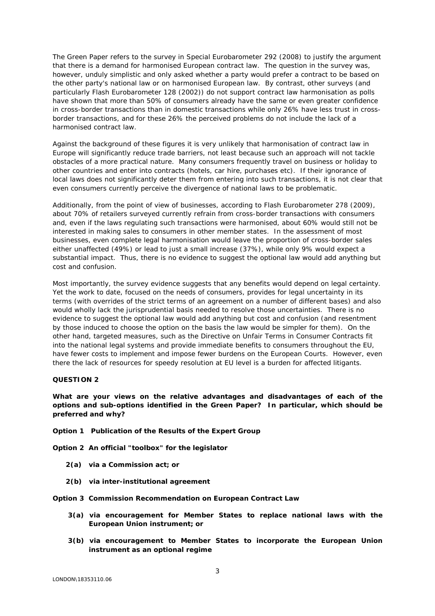The Green Paper refers to the survey in Special Eurobarometer 292 (2008) to justify the argument that there is a demand for harmonised European contract law. The question in the survey was, however, unduly simplistic and only asked whether a party would prefer a contract to be based on the other party's national law or on harmonised European law. By contrast, other surveys (and particularly Flash Eurobarometer 128 (2002)) do not support contract law harmonisation as polls have shown that more than 50% of consumers already have the same or even greater confidence in cross-border transactions than in domestic transactions while only 26% have less trust in crossborder transactions, and for these 26% the perceived problems do not include the lack of a harmonised contract law.

Against the background of these figures it is very unlikely that harmonisation of contract law in Europe will significantly reduce trade barriers, not least because such an approach will not tackle obstacles of a more practical nature. Many consumers frequently travel on business or holiday to other countries and enter into contracts (hotels, car hire, purchases etc). If their ignorance of local laws does not significantly deter them from entering into such transactions, it is not clear that even consumers currently perceive the divergence of national laws to be problematic.

Additionally, from the point of view of businesses, according to Flash Eurobarometer 278 (2009), about 70% of retailers surveyed currently refrain from cross-border transactions with consumers and, even if the laws regulating such transactions were harmonised, about 60% would still not be interested in making sales to consumers in other member states. In the assessment of most businesses, even complete legal harmonisation would leave the proportion of cross-border sales either unaffected (49%) or lead to just a small increase (37%), while only 9% would expect a substantial impact. Thus, there is no evidence to suggest the optional law would add anything but cost and confusion.

Most importantly, the survey evidence suggests that any benefits would depend on legal certainty. Yet the work to date, focused on the needs of consumers, provides for legal uncertainty in its terms (with overrides of the strict terms of an agreement on a number of different bases) and also would wholly lack the jurisprudential basis needed to resolve those uncertainties. There is no evidence to suggest the optional law would add anything but cost and confusion (and resentment by those induced to choose the option on the basis the law would be simpler for them). On the other hand, targeted measures, such as the Directive on Unfair Terms in Consumer Contracts fit into the national legal systems and provide immediate benefits to consumers throughout the EU, have fewer costs to implement and impose fewer burdens on the European Courts. However, even there the lack of resources for speedy resolution at EU level is a burden for affected litigants.

### **QUESTION 2**

**What are your views on the relative advantages and disadvantages of each of the options and sub-options identified in the Green Paper? In particular, which should be preferred and why?** 

**Option 1** *Publication of the Results of the Expert Group* 

**Option 2** *An official "toolbox" for the legislator* 

- **2(a)** *via a Commission act; or*
- **2(b)** *via inter-institutional agreement*

**Option 3** *Commission Recommendation on European Contract Law*

- **3(a)** *via encouragement for Member States to replace national laws with the European Union instrument; or*
- **3(b)** *via encouragement to Member States to incorporate the European Union instrument as an optional regime*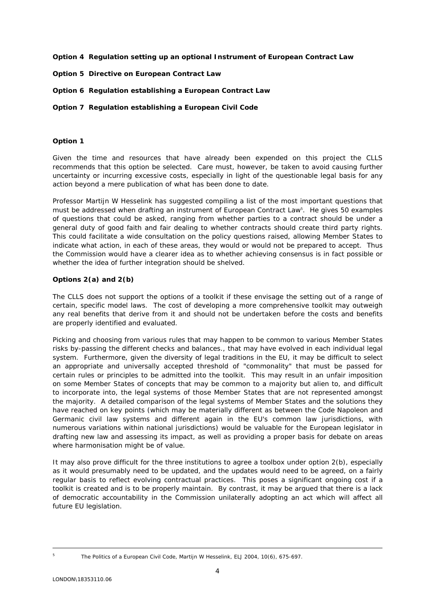**Option 4** *Regulation setting up an optional Instrument of European Contract Law* 

- **Option 5** *Directive on European Contract Law*
- **Option 6** *Regulation establishing a European Contract Law*
- **Option 7** *Regulation establishing a European Civil Code*

### **Option 1**

Given the time and resources that have already been expended on this project the CLLS recommends that this option be selected. Care must, however, be taken to avoid causing further uncertainty or incurring excessive costs, especially in light of the questionable legal basis for any action beyond a mere publication of what has been done to date.

Professor Martiin W Hesselink has suggested compiling a list of the most important questions that must be addressed when drafting an instrument of European Contract Law<sup>5</sup>[.](#page-3-0) He gives 50 examples of questions that could be asked, ranging from whether parties to a contract should be under a general duty of good faith and fair dealing to whether contracts should create third party rights. This could facilitate a wide consultation on the policy questions raised, allowing Member States to indicate what action, in each of these areas, they would or would not be prepared to accept. Thus the Commission would have a clearer idea as to whether achieving consensus is in fact possible or whether the idea of further integration should be shelved.

## **Options 2(a) and 2(b)**

The CLLS does not support the options of a toolkit if these envisage the setting out of a range of certain, specific model laws. The cost of developing a more comprehensive toolkit may outweigh any real benefits that derive from it and should not be undertaken before the costs and benefits are properly identified and evaluated.

Picking and choosing from various rules that may happen to be common to various Member States risks by-passing the different checks and balances., that may have evolved in each individual legal system. Furthermore, given the diversity of legal traditions in the EU, it may be difficult to select an appropriate and universally accepted threshold of "commonality" that must be passed for certain rules or principles to be admitted into the toolkit. This may result in an unfair imposition on some Member States of concepts that may be common to a majority but alien to, and difficult to incorporate into, the legal systems of those Member States that are not represented amongst the majority. A detailed comparison of the legal systems of Member States and the solutions they have reached on key points (which may be materially different as between the Code Napoleon and Germanic civil law systems and different again in the EU's common law jurisdictions, with numerous variations within national jurisdictions) would be valuable for the European legislator in drafting new law and assessing its impact, as well as providing a proper basis for debate on areas where harmonisation might be of value.

It may also prove difficult for the three institutions to agree a toolbox under option 2(b), especially as it would presumably need to be updated, and the updates would need to be agreed, on a fairly regular basis to reflect evolving contractual practices. This poses a significant ongoing cost if a toolkit is created and is to be properly maintain. By contrast, it may be argued that there is a lack of democratic accountability in the Commission unilaterally adopting an act which will affect all future EU legislation.

<span id="page-3-0"></span><sup>-&</sup>lt;br>5

*The Politics of a European Civil Code*, Martijn W Hesselink, ELJ 2004, 10(6), 675-697.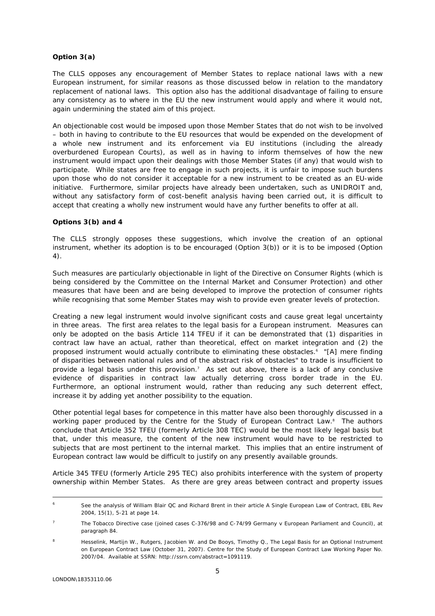## **Option 3(a)**

The CLLS opposes any encouragement of Member States to replace national laws with a new European instrument, for similar reasons as those discussed below in relation to the mandatory replacement of national laws. This option also has the additional disadvantage of failing to ensure any consistency as to where in the EU the new instrument would apply and where it would not, again undermining the stated aim of this project.

An objectionable cost would be imposed upon those Member States that do not wish to be involved – both in having to contribute to the EU resources that would be expended on the development of a whole new instrument and its enforcement via EU institutions (including the already overburdened European Courts), as well as in having to inform themselves of how the new instrument would impact upon their dealings with those Member States (if any) that would wish to participate. While states are free to engage in such projects, it is unfair to impose such burdens upon those who do not consider it acceptable for a new instrument to be created as an EU-wide initiative. Furthermore, similar projects have already been undertaken, such as UNIDROIT and, without any satisfactory form of cost-benefit analysis having been carried out, it is difficult to accept that creating a wholly new instrument would have any further benefits to offer at all.

### **Options 3(b) and 4**

The CLLS strongly opposes these suggestions, which involve the creation of an optional instrument, whether its adoption is to be encouraged (Option 3(b)) or it is to be imposed (Option 4).

Such measures are particularly objectionable in light of the Directive on Consumer Rights (which is being considered by the Committee on the Internal Market and Consumer Protection) and other measures that have been and are being developed to improve the protection of consumer rights while recognising that some Member States may wish to provide even greater levels of protection.

Creating a new legal instrument would involve significant costs and cause great legal uncertainty in three areas. The first area relates to the legal basis for a European instrument. Measures can only be adopted on the basis Article 114 TFEU if it can be demonstrated that (1) disparities in contract law have an actual, rather than theoretical, effect on market integration and (2) the proposed instrument would actually contribute to eliminating these obstacles.[6](#page-4-0) "[A] *mere finding of disparities between national rules and of the abstract risk of obstacles"* to trade is insufficient to provide a legal basis under this provision.<sup>7</sup> As set out above, there is a lack of any conclusive evidence of disparities in contract law actually deterring cross border trade in the EU. Furthermore, an optional instrument would, rather than reducing any such deterrent effect, increase it by adding yet another possibility to the equation.

Other potential legal bases for competence in this matter have also been thoroughly discussed in a working paper produced by the Centre for the Study of European Contract Law.<sup>[8](#page-4-2)</sup> The authors conclude that Article 352 TFEU (formerly Article 308 TEC) would be the most likely legal basis but that, under this measure, the content of the new instrument would have to be restricted to subjects that are most pertinent to the internal market. This implies that an entire instrument of European contract law would be difficult to justify on any presently available grounds.

Article 345 TFEU (formerly Article 295 TEC) also prohibits interference with the system of property ownership within Member States. As there are grey areas between contract and property issues

<span id="page-4-0"></span> <sup>6</sup> See the analysis of William Blair QC and Richard Brent in their article *A Single European Law of Contract*, EBL Rev 2004, 15(1), 5-21 at page 14.

<span id="page-4-1"></span><sup>7</sup> The Tobacco Directive case (joined cases C-376/98 and C-74/99 *Germany v European Parliament and Council*), at paragraph 84.

<span id="page-4-2"></span>Hesselink, Martijn W., Rutgers, Jacobien W. and De Booys, Timothy Q., The Legal Basis for an Optional Instrument on European Contract Law (October 31, 2007). Centre for the Study of European Contract Law Working Paper No. 2007/04. Available at SSRN: http://ssrn.com/abstract=1091119.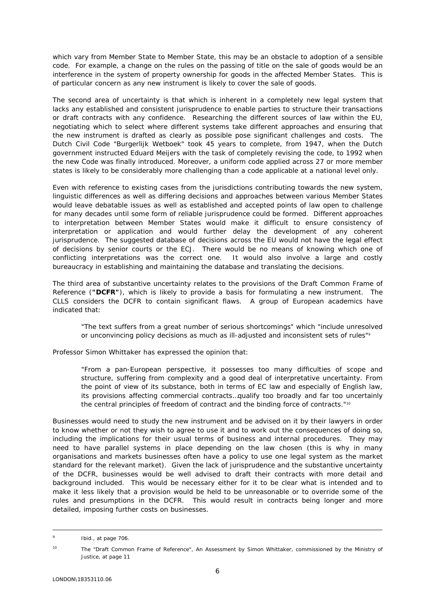which vary from Member State to Member State, this may be an obstacle to adoption of a sensible code. For example, a change on the rules on the passing of title on the sale of goods would be an interference in the system of property ownership for goods in the affected Member States. This is of particular concern as any new instrument is likely to cover the sale of goods.

The second area of uncertainty is that which is inherent in a completely new legal system that lacks any established and consistent jurisprudence to enable parties to structure their transactions or draft contracts with any confidence. Researching the different sources of law within the EU, negotiating which to select where different systems take different approaches and ensuring that the new instrument is drafted as clearly as possible pose significant challenges and costs. The Dutch Civil Code "Burgerlijk Wetboek" took 45 years to complete, from 1947, when the Dutch government instructed Eduard Meijers with the task of completely revising the code, to 1992 when the new Code was finally introduced. Moreover, a uniform code applied across 27 or more member states is likely to be considerably more challenging than a code applicable at a national level only.

Even with reference to existing cases from the jurisdictions contributing towards the new system, linguistic differences as well as differing decisions and approaches between various Member States would leave debatable issues as well as established and accepted points of law open to challenge for many decades until some form of reliable jurisprudence could be formed. Different approaches to interpretation between Member States would make it difficult to ensure consistency of interpretation or application and would further delay the development of any coherent jurisprudence. The suggested database of decisions across the EU would not have the legal effect of decisions by senior courts or the ECJ. There would be no means of knowing which one of conflicting interpretations was the correct one. It would also involve a large and costly bureaucracy in establishing and maintaining the database and translating the decisions.

The third area of substantive uncertainty relates to the provisions of the Draft Common Frame of Reference (**"DCFR"**), which is likely to provide a basis for formulating a new instrument. The CLLS considers the DCFR to contain significant flaws. A group of European academics have indicated that:

"*The text suffers from a great number of serious shortcomings*" which "*include unresolved or unconvincing policy decisions as much as ill-adjusted and inconsistent sets of rules*"*[9](#page-5-0)*

Professor Simon Whittaker has expressed the opinion that:

"*From a pan-European perspective, it possesses too many difficulties of scope and structure, suffering from complexity and a good deal of interpretative uncertainty. From the point of view of its substance, both in terms of EC law and especially of English law, its provisions affecting commercial contracts…qualify too broadly and far too uncertainly the central principles of freedom of contract and the binding force of contracts.*"[10](#page-5-1)

Businesses would need to study the new instrument and be advised on it by their lawyers in order to know whether or not they wish to agree to use it and to work out the consequences of doing so, including the implications for their usual terms of business and internal procedures. They may need to have parallel systems in place depending on the law chosen (this is why in many organisations and markets businesses often have a policy to use one legal system as the market standard for the relevant market). Given the lack of jurisprudence and the substantive uncertainty of the DCFR, businesses would be well advised to draft their contracts with more detail and background included. This would be necessary either for it to be clear what is intended and to make it less likely that a provision would be held to be unreasonable or to override some of the rules and presumptions in the DCFR. This would result in contracts being longer and more detailed, imposing further costs on businesses.

<span id="page-5-0"></span><sup>-&</sup>lt;br>9  $\frac{9}{100}$  Ibid., at page 706.

<span id="page-5-1"></span><sup>10</sup> *The "Draft Common Frame of Reference", An Assessment* by Simon Whittaker, commissioned by the Ministry of Justice, at page 11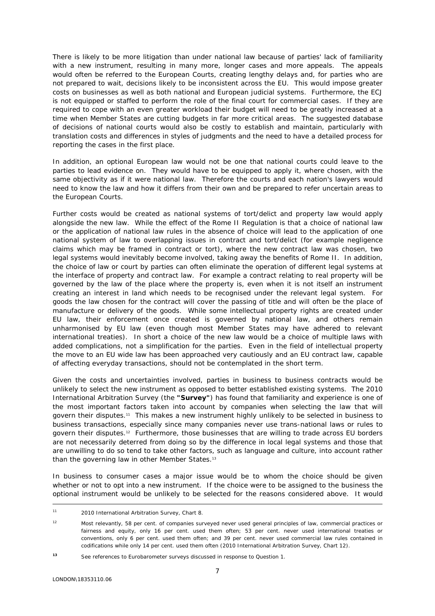There is likely to be more litigation than under national law because of parties' lack of familiarity with a new instrument, resulting in many more, longer cases and more appeals. The appeals would often be referred to the European Courts, creating lengthy delays and, for parties who are not prepared to wait, decisions likely to be inconsistent across the EU. This would impose greater costs on businesses as well as both national and European judicial systems. Furthermore, the ECJ is not equipped or staffed to perform the role of the final court for commercial cases. If they are required to cope with an even greater workload their budget will need to be greatly increased at a time when Member States are cutting budgets in far more critical areas. The suggested database of decisions of national courts would also be costly to establish and maintain, particularly with translation costs and differences in styles of judgments and the need to have a detailed process for reporting the cases in the first place.

In addition, an optional European law would not be one that national courts could leave to the parties to lead evidence on. They would have to be equipped to apply it, where chosen, with the same objectivity as if it were national law. Therefore the courts and each nation's lawyers would need to know the law and how it differs from their own and be prepared to refer uncertain areas to the European Courts.

Further costs would be created as national systems of tort/delict and property law would apply alongside the new law. While the effect of the Rome II Regulation is that a choice of national law or the application of national law rules in the absence of choice will lead to the application of one national system of law to overlapping issues in contract and tort/delict (for example negligence claims which may be framed in contract or tort), where the new contract law was chosen, two legal systems would inevitably become involved, taking away the benefits of Rome II. In addition, the choice of law or court by parties can often eliminate the operation of different legal systems at the interface of property and contract law. For example a contract relating to real property will be governed by the law of the place where the property is, even when it is not itself an instrument creating an interest in land which needs to be recognised under the relevant legal system. For goods the law chosen for the contract will cover the passing of title and will often be the place of manufacture or delivery of the goods. While some intellectual property rights are created under EU law, their enforcement once created is governed by national law, and others remain unharmonised by EU law (even though most Member States may have adhered to relevant international treaties). In short a choice of the new law would be a choice of multiple laws with added complications, not a simplification for the parties. Even in the field of intellectual property the move to an EU wide law has been approached very cautiously and an EU contract law, capable of affecting everyday transactions, should not be contemplated in the short term.

Given the costs and uncertainties involved, parties in business to business contracts would be unlikely to select the new instrument as opposed to better established existing systems. The 2010 International Arbitration Survey (the **"Survey"**) has found that familiarity and experience is one of the most important factors taken into account by companies when selecting the law that will govern their disputes.[11](#page-6-0) This makes a new instrument highly unlikely to be selected in business to business transactions, especially since many companies never use trans-national laws or rules to govern their disputes.[12](#page-6-1) Furthermore, those businesses that are willing to trade across EU borders are not necessarily deterred from doing so by the difference in local legal systems and those that are unwilling to do so tend to take other factors, such as language and culture, into account rather than the governing law in other Member States.<sup>13</sup>

In business to consumer cases a major issue would be to whom the choice should be given whether or not to opt into a new instrument. If the choice were to be assigned to the business the optional instrument would be unlikely to be selected for the reasons considered above. It would

<span id="page-6-0"></span> <sup>11 2010</sup> International Arbitration Survey, Chart 8.

<span id="page-6-1"></span><sup>12</sup> Most relevantly, 58 per cent. of companies surveyed never used general principles of law, commercial practices or fairness and equity, only 16 per cent. used them often; 53 per cent. never used international treaties or conventions, only 6 per cent. used them often; and 39 per cent. never used commercial law rules contained in codifications while only 14 per cent. used them often (2010 International Arbitration Survey, Chart 12).

<span id="page-6-2"></span>*<sup>13</sup>* See references to Eurobarometer surveys discussed in response to Question 1.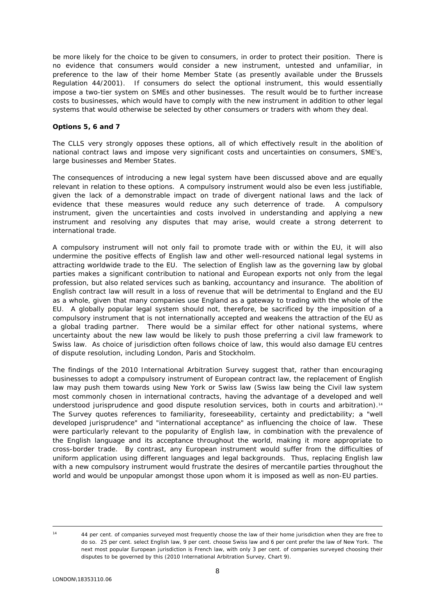be more likely for the choice to be given to consumers, in order to protect their position. There is no evidence that consumers would consider a new instrument, untested and unfamiliar, in preference to the law of their home Member State (as presently available under the Brussels Regulation 44/2001). If consumers do select the optional instrument, this would essentially impose a two-tier system on SMEs and other businesses. The result would be to further increase costs to businesses, which would have to comply with the new instrument in addition to other legal systems that would otherwise be selected by other consumers or traders with whom they deal.

## **Options 5, 6 and 7**

The CLLS very strongly opposes these options, all of which effectively result in the abolition of national contract laws and impose very significant costs and uncertainties on consumers, SME's, large businesses and Member States.

The consequences of introducing a new legal system have been discussed above and are equally relevant in relation to these options. A compulsory instrument would also be even less justifiable, given the lack of a demonstrable impact on trade of divergent national laws and the lack of evidence that these measures would reduce any such deterrence of trade. A compulsory instrument, given the uncertainties and costs involved in understanding and applying a new instrument and resolving any disputes that may arise, would create a strong deterrent to international trade.

A compulsory instrument will not only fail to promote trade with or within the EU, it will also undermine the positive effects of English law and other well-resourced national legal systems in attracting worldwide trade to the EU. The selection of English law as the governing law by global parties makes a significant contribution to national and European exports not only from the legal profession, but also related services such as banking, accountancy and insurance. The abolition of English contract law will result in a loss of revenue that will be detrimental to England and the EU as a whole, given that many companies use England as a gateway to trading with the whole of the EU. A globally popular legal system should not, therefore, be sacrificed by the imposition of a compulsory instrument that is not internationally accepted and weakens the attraction of the EU as a global trading partner. There would be a similar effect for other national systems, where uncertainty about the new law would be likely to push those preferring a civil law framework to Swiss law. As choice of jurisdiction often follows choice of law, this would also damage EU centres of dispute resolution, including London, Paris and Stockholm.

The findings of the 2010 International Arbitration Survey suggest that, rather than encouraging businesses to adopt a compulsory instrument of European contract law, the replacement of English law may push them towards using New York or Swiss law (Swiss law being the Civil law system most commonly chosen in international contracts, having the advantage of a developed and well understood jurisprudence and good dispute resolution services, both in courts and arbitration).[14](#page-7-0)  The Survey quotes references to familiarity, foreseeability, certainty and predictability; a "well developed jurisprudence" and "international acceptance" as influencing the choice of law. These were particularly relevant to the popularity of English law, in combination with the prevalence of the English language and its acceptance throughout the world, making it more appropriate to cross-border trade. By contrast, any European instrument would suffer from the difficulties of uniform application using different languages and legal backgrounds. Thus, replacing English law with a new compulsory instrument would frustrate the desires of mercantile parties throughout the world and would be unpopular amongst those upon whom it is imposed as well as non-EU parties.

<span id="page-7-0"></span>

 <sup>14</sup> 44 per cent. of companies surveyed most frequently choose the law of their home jurisdiction when they are free to do so. 25 per cent. select English law, 9 per cent. choose Swiss law and 6 per cent prefer the law of New York. The next most popular European jurisdiction is French law, with only 3 per cent. of companies surveyed choosing their disputes to be governed by this (2010 International Arbitration Survey, Chart 9).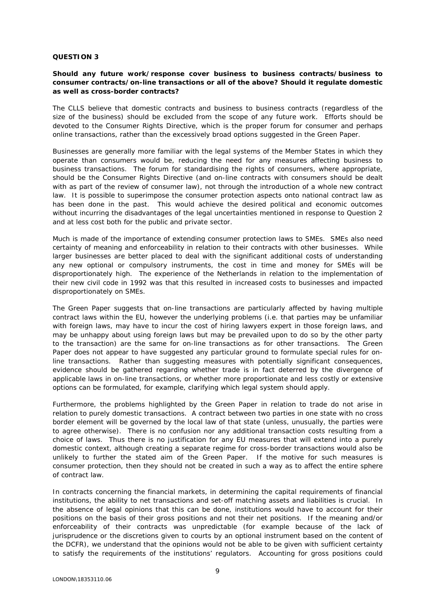#### **QUESTION 3**

### **Should any future work/response cover business to business contracts/business to consumer contracts/on-line transactions or all of the above? Should it regulate domestic as well as cross-border contracts?**

The CLLS believe that domestic contracts and business to business contracts (regardless of the size of the business) should be excluded from the scope of any future work. Efforts should be devoted to the Consumer Rights Directive, which is the proper forum for consumer and perhaps online transactions, rather than the excessively broad options suggested in the Green Paper.

Businesses are generally more familiar with the legal systems of the Member States in which they operate than consumers would be, reducing the need for any measures affecting business to business transactions. The forum for standardising the rights of consumers, where appropriate, should be the Consumer Rights Directive (and on-line contracts with consumers should be dealt with as part of the review of consumer law), not through the introduction of a whole new contract law. It is possible to superimpose the consumer protection aspects onto national contract law as has been done in the past. This would achieve the desired political and economic outcomes without incurring the disadvantages of the legal uncertainties mentioned in response to Question 2 and at less cost both for the public and private sector.

Much is made of the importance of extending consumer protection laws to SMEs. SMEs also need certainty of meaning and enforceability in relation to their contracts with other businesses. While larger businesses are better placed to deal with the significant additional costs of understanding any new optional or compulsory instruments, the cost in time and money for SMEs will be disproportionately high. The experience of the Netherlands in relation to the implementation of their new civil code in 1992 was that this resulted in increased costs to businesses and impacted disproportionately on SMEs.

The Green Paper suggests that on-line transactions are particularly affected by having multiple contract laws within the EU, however the underlying problems (i.e. that parties may be unfamiliar with foreign laws, may have to incur the cost of hiring lawyers expert in those foreign laws, and may be unhappy about using foreign laws but may be prevailed upon to do so by the other party to the transaction) are the same for on-line transactions as for other transactions. The Green Paper does not appear to have suggested any particular ground to formulate special rules for online transactions. Rather than suggesting measures with potentially significant consequences, evidence should be gathered regarding whether trade is in fact deterred by the divergence of applicable laws in on-line transactions, or whether more proportionate and less costly or extensive options can be formulated, for example, clarifying *which* legal system should apply.

Furthermore, the problems highlighted by the Green Paper in relation to trade do not arise in relation to purely domestic transactions. A contract between two parties in one state with no cross border element will be governed by the local law of that state (unless, unusually, the parties were to agree otherwise). There is no confusion nor any additional transaction costs resulting from a choice of laws. Thus there is no justification for any EU measures that will extend into a purely domestic context, although creating a separate regime for cross-border transactions would also be unlikely to further the stated aim of the Green Paper. If the motive for such measures is consumer protection, then they should not be created in such a way as to affect the entire sphere of contract law.

In contracts concerning the financial markets, in determining the capital requirements of financial institutions, the ability to net transactions and set-off matching assets and liabilities is crucial. In the absence of legal opinions that this can be done, institutions would have to account for their positions on the basis of their gross positions and not their net positions. If the meaning and/or enforceability of their contracts was unpredictable (for example because of the lack of jurisprudence or the discretions given to courts by an optional instrument based on the content of the DCFR), we understand that the opinions would not be able to be given with sufficient certainty to satisfy the requirements of the institutions' regulators. Accounting for gross positions could